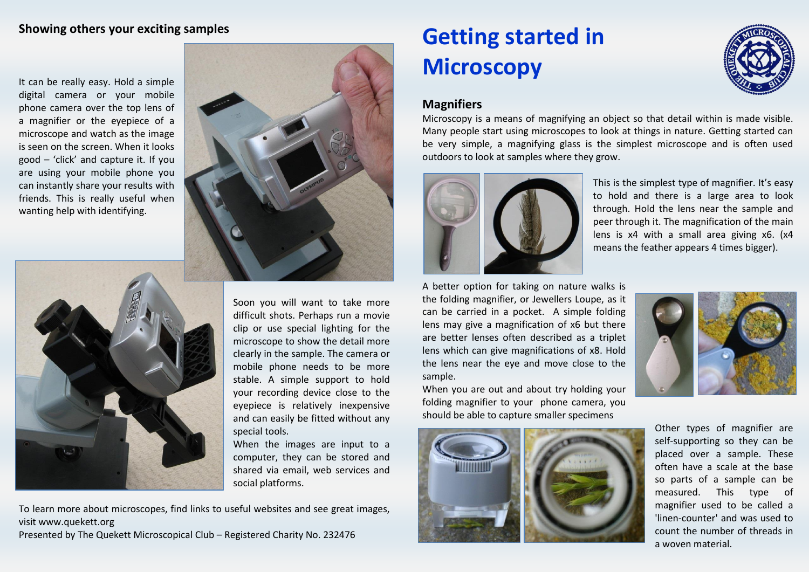#### **Showing others your exciting samples**

It can be really easy. Hold a simple digital camera or your mobile phone camera over the top lens of a magnifier or the eyepiece of a microscope and watch as the image is seen on the screen. When it looks good – 'click' and capture it. If you are using your mobile phone you can instantly share your results with friends. This is really useful when wanting help with identifying.





Soon you will want to take more difficult shots. Perhaps run a movie clip or use special lighting for the microscope to show the detail more clearly in the sample. The camera or mobile phone needs to be more stable. A simple support to hold your recording device close to the eyepiece is relatively inexpensive and can easily be fitted without any special tools.

When the images are input to a computer, they can be stored and shared via email, web services and social platforms.

To learn more about microscopes, find links to useful websites and see great images, visit www.quekett.org

Presented by The Quekett Microscopical Club – Registered Charity No. 232476

# **Getting started in Microscopy**



## **Magnifiers**

Microscopy is a means of magnifying an object so that detail within is made visible. Many people start using microscopes to look at things in nature. Getting started can be very simple, a magnifying glass is the simplest microscope and is often used outdoors to look at samples where they grow.



This is the simplest type of magnifier. It's easy to hold and there is a large area to look through. Hold the lens near the sample and peer through it. The magnification of the main lens is x4 with a small area giving x6. (x4 means the feather appears 4 times bigger).

A better option for taking on nature walks is the folding magnifier, or Jewellers Loupe, as it can be carried in a pocket. A simple folding lens may give a magnification of x6 but there are better lenses often described as a triplet lens which can give magnifications of x8. Hold the lens near the eye and move close to the sample.

When you are out and about try holding your folding magnifier to your phone camera, you should be able to capture smaller specimens





Other types of magnifier are self-supporting so they can be placed over a sample. These often have a scale at the base so parts of a sample can be measured. This type of magnifier used to be called a 'linen-counter' and was used to count the number of threads in a woven material.